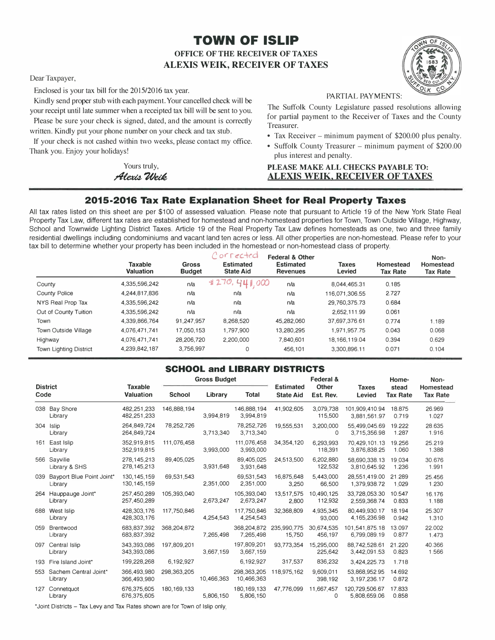# **TOWN OF ISLIP OFFICE OF THE RECEIVER OF TAXES ALEXIS WEIK, RECEIVER OF TAXES**

Dear Taxpayer,

Enclosed is your tax bill for the 2015/2016 tax year.

PARTIAL PAYMENTS: Kindly send proper stub with each payment. Your cancelled check will be your receipt until late summer when a receipted tax bill will be sent to you. Please be sure your check is signed, dated, and the amount is correctly

written. Kindly put your phone number on your check and tax stub.

If your check is not cashed within two weeks, please contact my office. • Tax Receiver – minimum payment of \$200.00 plus penalty. Thank you. Enjoy your holidays!<br>plus interest and penalty.

The Suffolk County Legislature passed resolutions allowing for partial payment to the Receiver of Taxes and the County Treasurer.

- 
- Suffolk County Treasurer minimum payment of \$200.00

### Yours truly,<br>*PLEASE MAKE ALL CHECKS PAYABLE TO:***<br><b>ALEXIS WEIK, RECEIVER OF TAXES** *rl�U'ed* **ALEXIS WEIK, RECEIVER OF TAXES**

# **2015-2016 Tax Rate Explanation Sheet for Real Property Taxes**

All tax rates listed on this sheet are per \$100 of assessed valuation. Please note that pursuant to Article 19 of the New York State Real Property Tax Law, different tax rates are established for homestead and non-homestead properties for Town, Town Outside Village, Highway, School and Townwide Lighting District Taxes. Article 19 of the Real Property Tax Law defines homesteads as one, two and three family residential dwellings including condominiums and vacant land ten acres or less. All other properties are non-homestead. Please refer to your tax bill to determine whether your property has been included in the homestead or non-homestead class of property.

|                             | <b>Taxable</b><br>Valuation | <b>Gross</b><br><b>Budget</b> | Corrected<br><b>Estimated</b><br><b>State Aid</b> | <b>Federal &amp; Other</b><br><b>Estimated</b><br><b>Revenues</b> | <b>Taxes</b><br>Levied | Homestead<br><b>Tax Rate</b> | Non-<br>Homestead<br><b>Tax Rate</b> |
|-----------------------------|-----------------------------|-------------------------------|---------------------------------------------------|-------------------------------------------------------------------|------------------------|------------------------------|--------------------------------------|
| County                      | 4.335.596.242               | n/a                           | 4270,441,000                                      | n/a                                                               | 8.044.465.31           | 0.185                        |                                      |
| <b>County Police</b>        | 4.244.817.836               | n/a                           | n/a                                               | n/a                                                               | 116.071.306.55         | 2.727                        |                                      |
| NYS Real Prop Tax           | 4.335.596.242               | n/a                           | n/a                                               | n/a                                                               | 29,760,375.73          | 0.684                        |                                      |
| Out of County Tuition       | 4.335.596.242               | n/a                           | n/a                                               | n/a                                                               | 2.652.111.99           | 0.061                        |                                      |
| Town                        | 4,339,866,764               | 91.247.957                    | 8,268,520                                         | 45.282.060                                                        | 37.697.376.61          | 0.774                        | 1.189                                |
| <b>Town Outside Village</b> | 4.076.471.741               | 17.050.153                    | 1,797,900                                         | 13.280.295                                                        | 1.971.957.75           | 0.043                        | 0.068                                |
| Highway                     | 4,076,471,741               | 28.206.720                    | 2,200,000                                         | 7.840.601                                                         | 18.166.119.04          | 0.394                        | 0.629                                |
| Town Lighting District      | 4,239,842,187               | 3.756.997                     | 0                                                 | 456,101                                                           | 3.300.896.11           | 0.071                        | 0.104                                |

## **SCHOOL and LIBRARY DISTRICTS**

|                         |                                          |                                    | <b>Gross Budget</b> |            |                            |                                      | Federal &             |                                  | Home-                    | Non-                         |
|-------------------------|------------------------------------------|------------------------------------|---------------------|------------|----------------------------|--------------------------------------|-----------------------|----------------------------------|--------------------------|------------------------------|
| <b>District</b><br>Code |                                          | <b>Taxable</b><br><b>Valuation</b> | <b>School</b>       | Library    | <b>Total</b>               | <b>Estimated</b><br><b>State Aid</b> | Other<br>Est. Rev.    | <b>Taxes</b><br>Levied           | stead<br><b>Tax Rate</b> | Homestead<br><b>Tax Rate</b> |
|                         | 038 Bay Shore<br>Library                 | 482,251,233<br>482, 251, 233       | 146,888,194         | 3,994,819  | 146,888,194<br>3,994,819   | 41,902,605                           | 3,079,738<br>115,500  | 101.909.410.94<br>3,881,561.97   | 18,875<br>0.719          | 26,969<br>1.027              |
|                         | 304 Islip<br>Library                     | 264.849.724<br>264,849,724         | 78,252,726          | 3,713,340  | 78.252.726<br>3,713,340    | 19,555,531                           | 3.200.000<br>0        | 55.499.045.69<br>3,715,356.98    | 19.222<br>1.287          | 28.635<br>1.916              |
| 161                     | East Islip<br>Library                    | 352.919.815<br>352,919,815         | 111,076,458         | 3.993.000  | 111,076,458<br>3,993,000   | 34,354,120                           | 6,293,993<br>118,391  | 70.429.101.13<br>3.876.838.25    | 19.256<br>1.060          | 25.219<br>1.388              |
|                         | 566 Sayville<br>Library & SHS            | 278.145.213<br>278, 145, 213       | 89.405.025          | 3,931,648  | 89.405.025<br>3,931,648    | 24.513.500                           | 6.202.880<br>122,532  | 58,690,338.13<br>3.810.645.92    | 19.034<br>1.236          | 30.676<br>1.991              |
|                         | 039 Bayport Blue Point Joint*<br>Library | 130.145.159<br>130, 145, 159       | 69,531,543          | 2.351.000  | 69.531.543<br>2.351.000    | 16.875.648<br>3,250                  | 5.443.000<br>66,500   | 28,551,419,00<br>1.379.938.72    | 21.289<br>1.029          | 25.456<br>1.230              |
|                         | 264 Hauppauge Joint*<br>Library          | 257,450,289<br>257,450,289         | 105,393,040         | 2,673,247  | 105.393.040<br>2,673,247   | 13,517,575<br>2,800                  | 10.490.125<br>112,932 | 33.728.053.30<br>2,559,368.74    | 10.547<br>0.833          | 16.176<br>1.188              |
|                         | 688 West Islip<br>Library                | 428.303.176<br>428,303,176         | 117,750,846         | 4,254,543  | 117.750.846<br>4,254,543   | 32.368.809                           | 4.935.345<br>93,000   | 80.449.930.17<br>4,165,236.98    | 18.194<br>0.942          | 25.307<br>1.310              |
| 059                     | Brentwood<br>Library                     | 683,837,392<br>683,837,392         | 368,204,872         | 7,265,498  | 7,265,498                  | 368,204,872 235,990,775<br>15,750    | 30,674,535<br>456,197 | 101.541.875.18<br>6.799.089.19   | 13.097<br>0.877          | 22.002<br>1.473              |
| 097                     | Central Islip<br>Library                 | 343.393.086<br>343,393,086         | 197,809,201         | 3,667,159  | 197,809,201<br>3,667,159   | 93.773.354                           | 15,295,000<br>225,642 | 88,742,528.61<br>3,442,091.53    | 21.220<br>0.823          | 40.366<br>1.566              |
|                         | 193 Fire Island Joint*                   | 199,228,268                        | 6,192,927           |            | 6,192,927                  | 317,537                              | 836,232               | 3,424,225.73                     | 1.718                    |                              |
|                         | 553 Sachem Central Joint*<br>Library     | 366,493,980<br>366,493,980         | 298,363,205         | 10,466,363 | 298,363,205<br>10,466,363  | 118,975,162                          | 9,609,011<br>398,192  | 53.868.952.95<br>3, 197, 236. 17 | 14.692<br>0.872          |                              |
| 127                     | Connetquot<br>Library                    | 676.375.605<br>676,375,605         | 180.169.133         | 5,806,150  | 180, 169, 133<br>5,806,150 | 47.776.099                           | 11,667,457<br>0       | 120.729.506.67<br>5,808,659.06   | 17.833<br>0.858          |                              |

\*Joint Districts - Tax Levy and Tax Rates shown are for Town of Islip only.